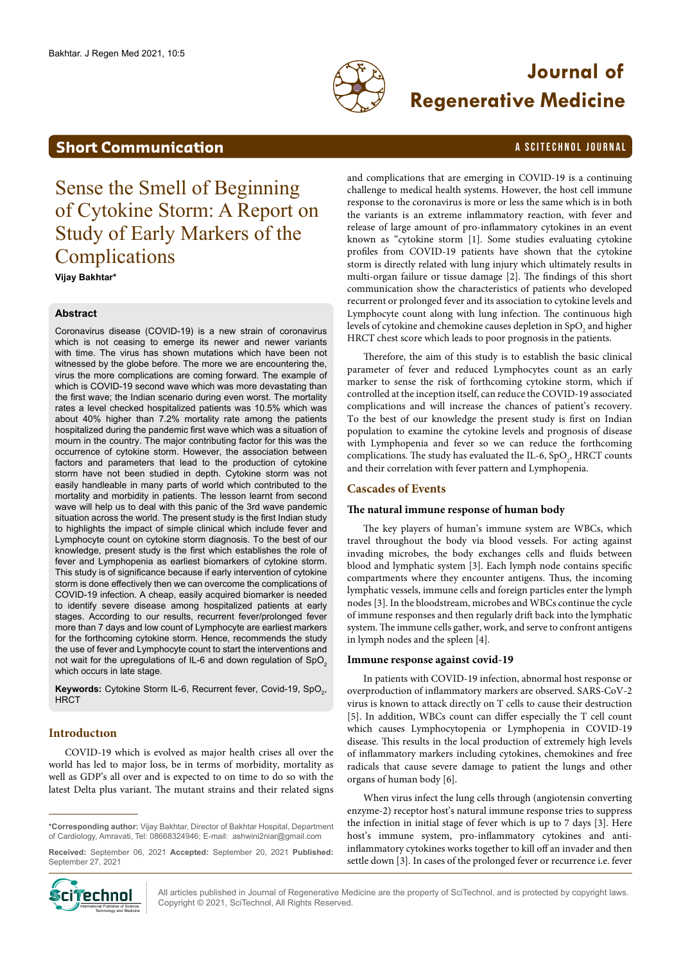

# **Journal of Regenerative Medicine**

## <span id="page-0-0"></span>**Short Communication** A SCITECHNOL JOURNAL

Sense the Smell of Beginning of Cytokine Storm: A Report on Study of Early Markers of the Complications

**Vijay Bakhtar\***

#### **Abstract**

Coronavirus disease (COVID-19) is a new strain of coronavirus which is not ceasing to emerge its newer and newer variants with time. The virus has shown mutations which have been not witnessed by the globe before. The more we are encountering the, virus the more complications are coming forward. The example of which is COVID-19 second wave which was more devastating than the first wave; the Indian scenario during even worst. The mortality rates a level checked hospitalized patients was 10.5% which was about 40% higher than 7.2% mortality rate among the patients hospitalized during the pandemic first wave which was a situation of mourn in the country. The major contributing factor for this was the occurrence of cytokine storm. However, the association between factors and parameters that lead to the production of cytokine storm have not been studied in depth. Cytokine storm was not easily handleable in many parts of world which contributed to the mortality and morbidity in patients. The lesson learnt from second wave will help us to deal with this panic of the 3rd wave pandemic situation across the world. The present study is the first Indian study to highlights the impact of simple clinical which include fever and Lymphocyte count on cytokine storm diagnosis. To the best of our knowledge, present study is the first which establishes the role of fever and Lymphopenia as earliest biomarkers of cytokine storm. This study is of significance because if early intervention of cytokine storm is done effectively then we can overcome the complications of COVID-19 infection. A cheap, easily acquired biomarker is needed to identify severe disease among hospitalized patients at early stages. According to our results, recurrent fever/prolonged fever more than 7 days and low count of Lymphocyte are earliest markers for the forthcoming cytokine storm. Hence, recommends the study the use of fever and Lymphocyte count to start the interventions and not wait for the upregulations of IL-6 and down regulation of SpO<sub>2</sub> which occurs in late stage.

**Keywords:** Cytokine Storm IL-6, Recurrent fever, Covid-19, SpO<sub>2</sub>, **HRCT** 

### **Introductıon**

COVID-19 which is evolved as major health crises all over the world has led to major loss, be in terms of morbidity, mortality as well as GDP's all over and is expected to on time to do so with the latest Delta plus variant. The mutant strains and their related signs

**Received:** September 06, 2021 **Accepted:** September 20, 2021 **Published:** September 27, 2021



and complications that are emerging in COVID-19 is a continuing challenge to medical health systems. However, the host cell immune response to the coronavirus is more or less the same which is in both the variants is an extreme inflammatory reaction, with fever and release of large amount of pro-inflammatory cytokines in an event known as "cytokine storm [1]. Some studies evaluating cytokine profiles from COVID-19 patients have shown that the cytokine storm is directly related with lung injury which ultimately results in multi-organ failure or tissue damage [2]. The findings of this short communication show the characteristics of patients who developed recurrent or prolonged fever and its association to cytokine levels and Lymphocyte count along with lung infection. The continuous high levels of cytokine and chemokine causes depletion in SpO<sub>2</sub> and higher HRCT chest score which leads to poor prognosis in the patients.

Therefore, the aim of this study is to establish the basic clinical parameter of fever and reduced Lymphocytes count as an early marker to sense the risk of forthcoming cytokine storm, which if controlled at the inception itself, can reduce the COVID-19 associated complications and will increase the chances of patient's recovery. To the best of our knowledge the present study is first on Indian population to examine the cytokine levels and prognosis of disease with Lymphopenia and fever so we can reduce the forthcoming complications. The study has evaluated the IL-6,  $SpO<sub>2</sub>$ , HRCT counts and their correlation with fever pattern and Lymphopenia.

#### **Cascades of Events**

#### **The natural immune response of human body**

The key players of human's immune system are WBCs, which travel throughout the body via blood vessels. For acting against invading microbes, the body exchanges cells and fluids between blood and lymphatic system [3]. Each lymph node contains specific compartments where they encounter antigens. Thus, the incoming lymphatic vessels, immune cells and foreign particles enter the lymph nodes [3]. In the bloodstream, microbes and WBCs continue the cycle of immune responses and then regularly drift back into the lymphatic system. The immune cells gather, work, and serve to confront antigens in lymph nodes and the spleen [4].

#### **Immune response against covid-19**

In patients with COVID-19 infection, abnormal host response or overproduction of inflammatory markers are observed. SARS-CoV-2 virus is known to attack directly on T cells to cause their destruction [5]. In addition, WBCs count can differ especially the T cell count which causes Lymphocytopenia or Lymphopenia in COVID-19 disease. This results in the local production of extremely high levels of inflammatory markers including cytokines, chemokines and free radicals that cause severe damage to patient the lungs and other organs of human body [6].

When virus infect the lung cells through (angiotensin converting enzyme-2) receptor host's natural immune response tries to suppress the infection in initial stage of fever which is up to 7 days [3]. Here host's immune system, pro-inflammatory cytokines and antiinflammatory cytokines works together to kill off an invader and then settle down [3]. In cases of the prolonged fever or recurrence i.e. fever

All articles published in Journal of Regenerative Medicine are the property of SciTechnol, and is protected by copyright laws. Copyright © 2021, SciTechnol, All Rights Reserved.

**<sup>\*</sup>Corresponding author:** Vijay Bakhtar, Director of Bakhtar Hospital, Department of Cardiology, Amravati, Tel: 08668324946; E-mail: [ashwini2niar@gmail.com](mailto:ashwini2niar@gmail.com)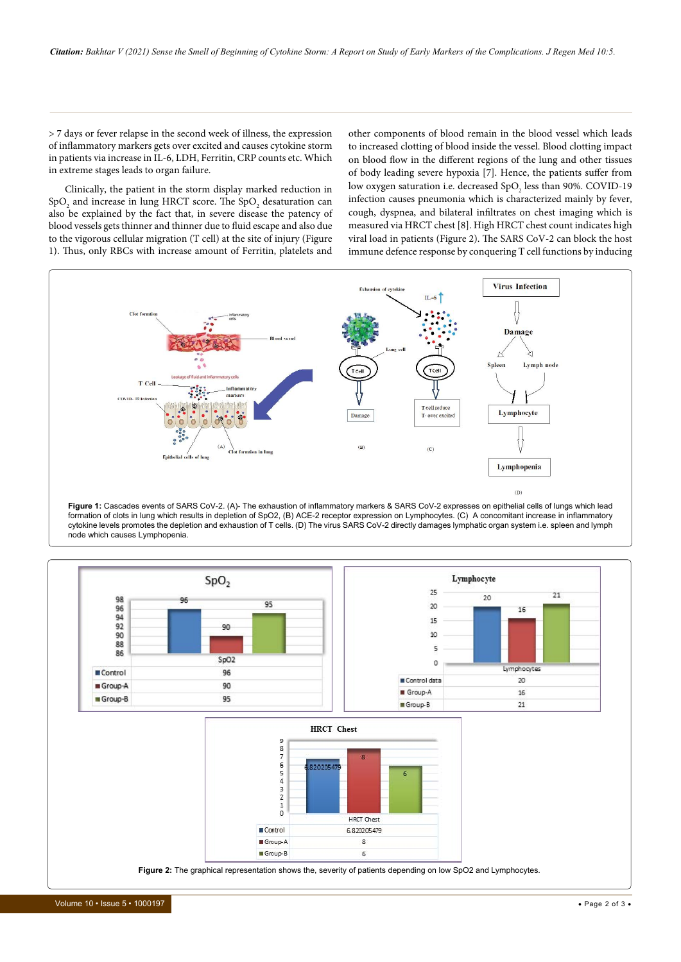> 7 days or fever relapse in the second week of illness, the expression of inflammatory markers gets over excited and causes cytokine storm in patients via increase in IL-6, LDH, Ferritin, CRP counts etc. Which in extreme stages leads to organ failure.

Clinically, the patient in the storm display marked reduction in  $\mathrm{SpO}_2$  and increase in lung HRCT score. The  $\mathrm{SpO}_2$  desaturation can also be explained by the fact that, in severe disease the patency of blood vessels gets thinner and thinner due to fluid escape and also due to the vigorous cellular migration (T cell) at the site of injury (Figure 1). Thus, only RBCs with increase amount of Ferritin, platelets and

other components of blood remain in the blood vessel which leads to increased clotting of blood inside the vessel. Blood clotting impact on blood flow in the different regions of the lung and other tissues of body leading severe hypoxia [7]. Hence, the patients suffer from low oxygen saturation i.e. decreased  $\text{SpO}_2$  less than 90%. COVID-19 infection causes pneumonia which is characterized mainly by fever, cough, dyspnea, and bilateral infiltrates on chest imaging which is measured via HRCT chest [8]. High HRCT chest count indicates high viral load in patients (Figure 2). The SARS CoV-2 can block the host immune defence response by conquering T cell functions by inducing



**Figure 1:** Cascades events of SARS CoV-2. (A)- The exhaustion of inflammatory markers & SARS CoV-2 expresses on epithelial cells of lungs which lead formation of clots in lung which results in depletion of SpO2, (B) ACE-2 receptor expression on Lymphocytes. (C) A concomitant increase in inflammatory cytokine levels promotes the depletion and exhaustion of T cells. (D) The virus SARS CoV-2 directly damages lymphatic organ system i.e. spleen and lymph node which causes Lymphopenia.